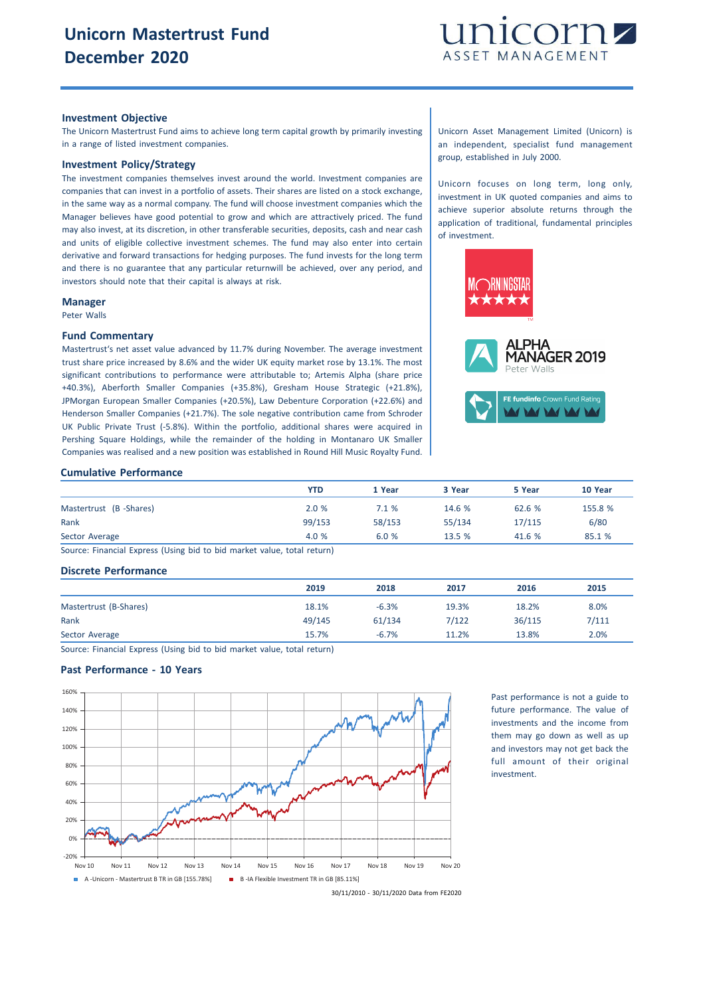

#### **Investment Objective**

The Unicorn Mastertrust Fund aims to achieve long term capital growth by primarily investing in a range of listed investment companies.

## **Investment Policy/Strategy**

The investment companies themselves invest around the world. Investment companies are companies that can invest in a portfolio of assets. Their shares are listed on a stock exchange, in the same way as a normal company. The fund will choose investment companies which the Manager believes have good potential to grow and which are attractively priced. The fund may also invest, at its discretion, in other transferable securities, deposits, cash and near cash and units of eligible collective investment schemes. The fund may also enter into certain derivative and forward transactions for hedging purposes. The fund invests for the long term and there is no guarantee that any particular returnwill be achieved, over any period, and investors should note that their capital is always at risk.

#### **Manager**

Peter Walls

### **Fund Commentary**

Mastertrust's net asset value advanced by 11.7% during November. The average investment trust share price increased by 8.6% and the wider UK equity market rose by 13.1%. The most significant contributions to performance were attributable to; Artemis Alpha (share price +40.3%), Aberforth Smaller Companies (+35.8%), Gresham House Strategic (+21.8%), JPMorgan European Smaller Companies (+20.5%), Law Debenture Corporation (+22.6%) and Henderson Smaller Companies (+21.7%). The sole negative contribution came from Schroder UK Public Private Trust (-5.8%). Within the portfolio, additional shares were acquired in Pershing Square Holdings, while the remainder of the holding in Montanaro UK Smaller Companies was realised and a new position was established in Round Hill Music Royalty Fund.

Unicorn Asset Management Limited (Unicorn) is an independent, specialist fund management group, established in July 2000.

Unicorn focuses on long term, long only, investment in UK quoted companies and aims to achieve superior absolute returns through the application of traditional, fundamental principles of investment.





**A MARIA** 

# **Cumulative Performance**

|                        | YTD    | 1 Year | 3 Year | 5 Year | 10 Year |
|------------------------|--------|--------|--------|--------|---------|
| Mastertrust (B-Shares) | 2.0%   | 7.1%   | 14.6 % | 62.6 % | 155.8 % |
| Rank                   | 99/153 | 58/153 | 55/134 | 17/115 | 6/80    |
| Sector Average         | 4.0 %  | 6.0%   | 13.5%  | 41.6%  | 85.1 %  |

Source: Financial Express (Using bid to bid market value, total return)

# **Discrete Performance**

|                        | 2019   | 2018    | 2017  | 2016   | 2015  |
|------------------------|--------|---------|-------|--------|-------|
| Mastertrust (B-Shares) | 18.1%  | $-6.3%$ | 19.3% | 18.2%  | 8.0%  |
| Rank                   | 49/145 | 61/134  | 7/122 | 36/115 | 7/111 |
| Sector Average         | 15.7%  | $-6.7%$ | 11.2% | 13.8%  | 2.0%  |

Source: Financial Express (Using bid to bid market value, total return)

# **Past Performance - 10 Years**



Past performance is not a guide to future performance. The value of investments and the income from them may go down as well as up and investors may not get back the full amount of their original investment.

30/11/2010 - 30/11/2020 Data from FE2020